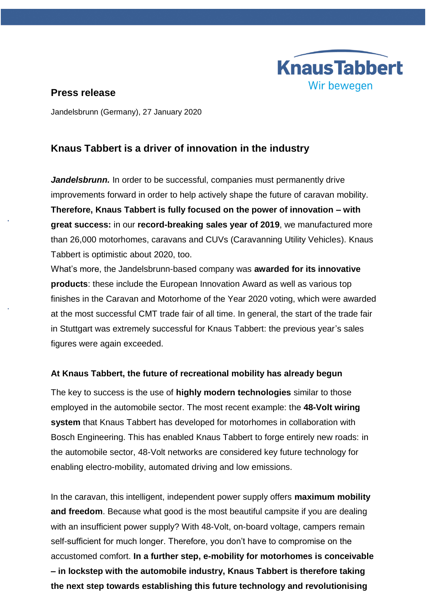

## **Press release**

Jandelsbrunn (Germany), 27 January 2020

## **Knaus Tabbert is a driver of innovation in the industry**

*Jandelsbrunn.* In order to be successful, companies must permanently drive improvements forward in order to help actively shape the future of caravan mobility. **Therefore, Knaus Tabbert is fully focused on the power of innovation – with great success:** in our **record-breaking sales year of 2019**, we manufactured more than 26,000 motorhomes, caravans and CUVs (Caravanning Utility Vehicles). Knaus Tabbert is optimistic about 2020, too.

What's more, the Jandelsbrunn-based company was **awarded for its innovative products**: these include the European Innovation Award as well as various top finishes in the Caravan and Motorhome of the Year 2020 voting, which were awarded at the most successful CMT trade fair of all time. In general, the start of the trade fair in Stuttgart was extremely successful for Knaus Tabbert: the previous year's sales figures were again exceeded.

### **At Knaus Tabbert, the future of recreational mobility has already begun**

The key to success is the use of **highly modern technologies** similar to those employed in the automobile sector. The most recent example: the **48-Volt wiring system** that Knaus Tabbert has developed for motorhomes in collaboration with Bosch Engineering. This has enabled Knaus Tabbert to forge entirely new roads: in the automobile sector, 48-Volt networks are considered key future technology for enabling electro-mobility, automated driving and low emissions.

In the caravan, this intelligent, independent power supply offers **maximum mobility and freedom**. Because what good is the most beautiful campsite if you are dealing with an insufficient power supply? With 48-Volt, on-board voltage, campers remain self-sufficient for much longer. Therefore, you don't have to compromise on the accustomed comfort. **In a further step, e-mobility for motorhomes is conceivable – in lockstep with the automobile industry, Knaus Tabbert is therefore taking the next step towards establishing this future technology and revolutionising**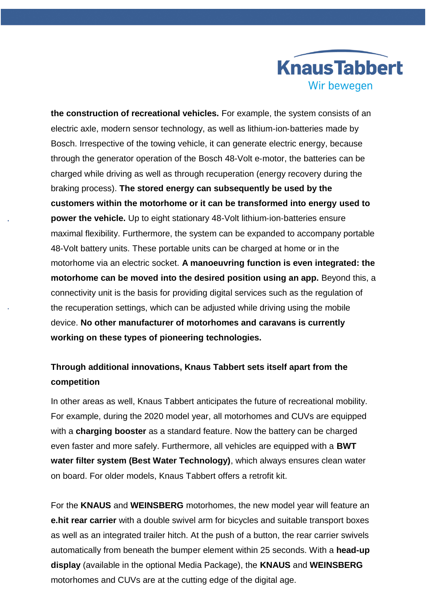

**the construction of recreational vehicles.** For example, the system consists of an electric axle, modern sensor technology, as well as lithium‐ion‐batteries made by Bosch. Irrespective of the towing vehicle, it can generate electric energy, because through the generator operation of the Bosch 48-Volt e‐motor, the batteries can be charged while driving as well as through recuperation (energy recovery during the braking process). **The stored energy can subsequently be used by the customers within the motorhome or it can be transformed into energy used to power the vehicle.** Up to eight stationary 48-Volt lithium-ion-batteries ensure maximal flexibility. Furthermore, the system can be expanded to accompany portable 48-Volt battery units. These portable units can be charged at home or in the motorhome via an electric socket. **A manoeuvring function is even integrated: the motorhome can be moved into the desired position using an app.** Beyond this, a connectivity unit is the basis for providing digital services such as the regulation of the recuperation settings, which can be adjusted while driving using the mobile device. **No other manufacturer of motorhomes and caravans is currently working on these types of pioneering technologies.**

# **Through additional innovations, Knaus Tabbert sets itself apart from the competition**

In other areas as well, Knaus Tabbert anticipates the future of recreational mobility. For example, during the 2020 model year, all motorhomes and CUVs are equipped with a **charging booster** as a standard feature. Now the battery can be charged even faster and more safely. Furthermore, all vehicles are equipped with a **BWT water filter system (Best Water Technology)**, which always ensures clean water on board. For older models, Knaus Tabbert offers a retrofit kit.

For the **KNAUS** and **WEINSBERG** motorhomes, the new model year will feature an **e.hit rear carrier** with a double swivel arm for bicycles and suitable transport boxes as well as an integrated trailer hitch. At the push of a button, the rear carrier swivels automatically from beneath the bumper element within 25 seconds. With a **head-up display** (available in the optional Media Package), the **KNAUS** and **WEINSBERG** motorhomes and CUVs are at the cutting edge of the digital age.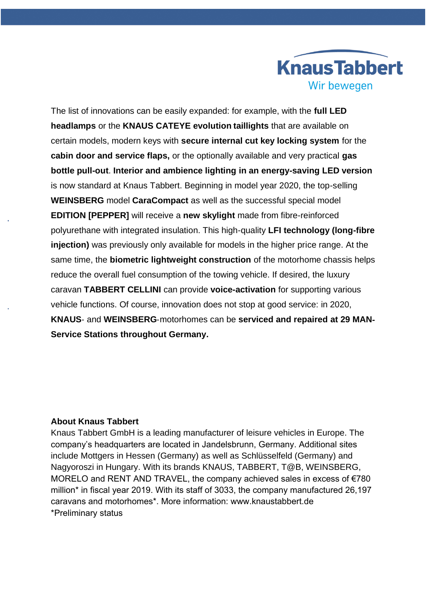

The list of innovations can be easily expanded: for example, with the **full LED headlamps** or the **KNAUS CATEYE evolution taillights** that are available on certain models, modern keys with **secure internal cut key locking system** for the **cabin door and service flaps,** or the optionally available and very practical **gas bottle pull-out**. **Interior and ambience lighting in an energy-saving LED version** is now standard at Knaus Tabbert. Beginning in model year 2020, the top-selling **WEINSBERG** model **CaraCompact** as well as the successful special model **EDITION [PEPPER]** will receive a **new skylight** made from fibre-reinforced polyurethane with integrated insulation. This high-quality **LFI technology (long-fibre injection)** was previously only available for models in the higher price range. At the same time, the **biometric lightweight construction** of the motorhome chassis helps reduce the overall fuel consumption of the towing vehicle. If desired, the luxury caravan **TABBERT CELLINI** can provide **voice-activation** for supporting various vehicle functions. Of course, innovation does not stop at good service: in 2020, **KNAUS**‐ and **WEINSBERG**‐motorhomes can be **serviced and repaired at 29 MAN**‐ **Service Stations throughout Germany.**

#### **About Knaus Tabbert**

Knaus Tabbert GmbH is a leading manufacturer of leisure vehicles in Europe. The company's headquarters are located in Jandelsbrunn, Germany. Additional sites include Mottgers in Hessen (Germany) as well as Schlüsselfeld (Germany) and Nagyoroszi in Hungary. With its brands KNAUS, TABBERT, T@B, WEINSBERG, MORELO and RENT AND TRAVEL, the company achieved sales in excess of €780 million\* in fiscal year 2019. With its staff of 3033, the company manufactured 26,197 caravans and motorhomes\*. More information: www.knaustabbert.de \*Preliminary status